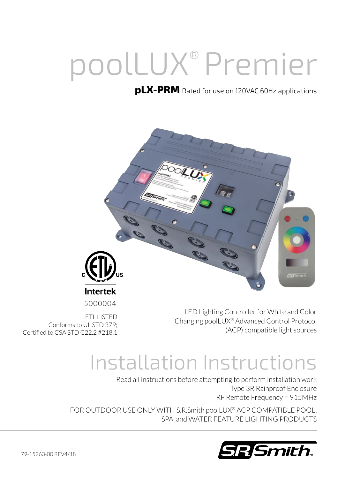# poolLUX® Premier

#### **pLX-PRM** Rated for use on 120VAC 60Hz applications



LED Lighting Controller for White and Color Changing poolLUX® Advanced Control Protocol (ACP) compatible light sources

5000004

ETL LISTED Conforms to UL STD 379; Certified to CSA STD C22.2 #218.1

## Installation Instructions

Read all instructions before attempting to perform installation work Type 3R Rainproof Enclosure RF Remote Frequency = 915MHz

FOR OUTDOOR USE ONLY WITH S.R.Smith poolLUX® ACP COMPATIBLE POOL, SPA, and WATER FEATURE LIGHTING PRODUCTS

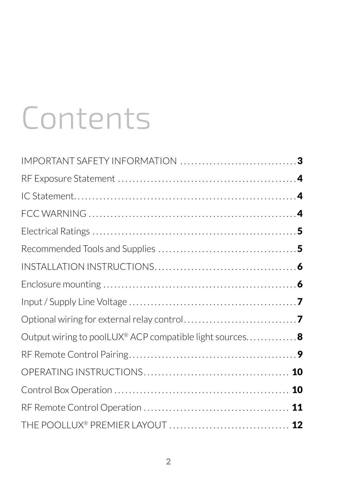# Contents

| Output wiring to poolLUX® ACP compatible light sources 8 |  |
|----------------------------------------------------------|--|
|                                                          |  |
|                                                          |  |
|                                                          |  |
|                                                          |  |
|                                                          |  |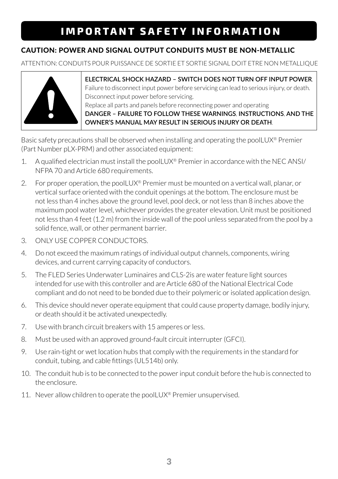## **IMPORTANT SAFETY INFORMATION**

#### CAUTION: POWER AND SIGNAL OUTPUT CONDUITS MUST BE NON-METALLIC

ATTENTION: CONDUITS POUR PUISSANCE DE SORTIE ET SORTIE SIGNAL DOIT ETRE NON METALLIQUE



**ELECTRICAL SHOCK HAZARD – SWITCH DOES NOT TURN OFF INPUT POWER.** Failure to disconnect input power before servicing can lead to serious injury, or death. Disconnect input power before servicing. Replace all parts and panels before reconnecting power and operating **DANGER – FAILURE TO FOLLOW THESE WARNINGS, INSTRUCTIONS, AND THE OWNER'S MANUAL MAY RESULT IN SERIOUS INJURY OR DEATH.**

Basic safety precautions shall be observed when installing and operating the poolLUX® Premier (Part Number pLX-PRM) and other associated equipment:

- 1. A qualified electrician must install the poolLUX® Premier in accordance with the NEC ANSI/ NFPA 70 and Article 680 requirements.
- 2. For proper operation, the poolLUX<sup>®</sup> Premier must be mounted on a vertical wall, planar, or vertical surface oriented with the conduit openings at the bottom. The enclosure must be not less than 4 inches above the ground level, pool deck, or not less than 8 inches above the maximum pool water level, whichever provides the greater elevation. Unit must be positioned not less than 4 feet (1.2 m) from the inside wall of the pool unless separated from the pool by a solid fence, wall, or other permanent barrier.
- 3. ONLY USE COPPER CONDUCTORS.
- 4. Do not exceed the maximum ratings of individual output channels, components, wiring devices, and current carrying capacity of conductors.
- 5. The FLED Series Underwater Luminaires and CLS-2is are water feature light sources intended for use with this controller and are Article 680 of the National Electrical Code compliant and do not need to be bonded due to their polymeric or isolated application design.
- 6. This device should never operate equipment that could cause property damage, bodily injury, or death should it be activated unexpectedly.
- 7. Use with branch circuit breakers with 15 amperes or less.
- 8. Must be used with an approved ground-fault circuit interrupter (GFCI).
- 9. Use rain-tight or wet location hubs that comply with the requirements in the standard for conduit, tubing, and cable fittings (UL514b) only.
- 10. The conduit hub is to be connected to the power input conduit before the hub is connected to the enclosure.
- 11. Never allow children to operate the poolLUX® Premier unsupervised.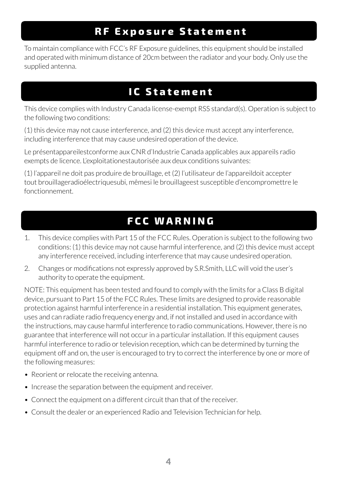## **RF Exposure Statement**

To maintain compliance with FCC's RF Exposure guidelines, this equipment should be installed and operated with minimum distance of 20cm between the radiator and your body. Only use the supplied antenna.

## **IC Statement**

This device complies with Industry Canada license-exempt RSS standard(s). Operation is subject to the following two conditions:

(1) this device may not cause interference, and (2) this device must accept any interference, including interference that may cause undesired operation of the device.

Le présentappareilestconforme aux CNR d'Industrie Canada applicables aux appareils radio exempts de licence. L'exploitationestautorisée aux deux conditions suivantes:

(1) l'appareil ne doit pas produire de brouillage, et (2) l'utilisateur de l'appareildoit accepter tout brouillageradioélectriquesubi, mêmesi le brouillageest susceptible d'encompromettre le fonctionnement.

## **FCC WARNING**

- 1. This device complies with Part 15 of the FCC Rules. Operation is subject to the following two conditions: (1) this device may not cause harmful interference, and (2) this device must accept any interference received, including interference that may cause undesired operation.
- 2. Changes or modifications not expressly approved by S.R.Smith, LLC will void the user's authority to operate the equipment.

NOTE: This equipment has been tested and found to comply with the limits for a Class B digital device, pursuant to Part 15 of the FCC Rules. These limits are designed to provide reasonable protection against harmful interference in a residential installation. This equipment generates, uses and can radiate radio frequency energy and, if not installed and used in accordance with the instructions, may cause harmful interference to radio communications. However, there is no guarantee that interference will not occur in a particular installation. If this equipment causes harmful interference to radio or television reception, which can be determined by turning the equipment off and on, the user is encouraged to try to correct the interference by one or more of the following measures:

- Reorient or relocate the receiving antenna.
- Increase the separation between the equipment and receiver.
- Connect the equipment on a different circuit than that of the receiver.
- Consult the dealer or an experienced Radio and Television Technician for help.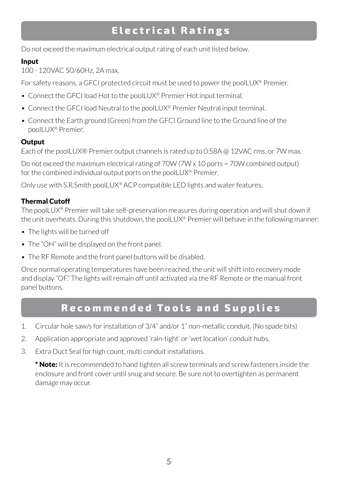## **Electrical Ratings**

Do not exceed the maximum electrical output rating of each unit listed below.

#### Input

100 - 120VAC 50/60Hz, 2A max.

For safety reasons, a GFCI protected circuit must be used to power the poolLUX<sup>®</sup> Premier.

- Connect the GFCI load Hot to the poolLUX® Premier Hot input terminal.
- Connect the GFCI load Neutral to the poolLUX® Premier Neutral input terminal.
- Connect the Earth ground (Green) from the GFCI Ground line to the Ground line of the poolLUX® Premier.

#### **Output**

Each of the poolLUX® Premier output channels is rated up to 0.58A @ 12VAC rms. or 7W max.

Do not exceed the maximum electrical rating of 70W (7W x 10 ports = 70W combined output) for the combined individual output ports on the poolLUX® Premier.

Only use with S.R.Smith poolLUX® ACP compatible LED lights and water features.

#### Thermal Cutoff

The poolLUX® Premier will take self-preservation measures during operation and will shut down if the unit overheats. During this shutdown, the poolLUX® Premier will behave in the following manner:

- The lights will be turned off
- The "OH" will be displayed on the front panel.
- The RF Remote and the front panel buttons will be disabled.

Once normal operating temperatures have been reached, the unit will shift into recovery mode and display "OF." The lights will remain off until activated via the RF Remote or the manual front panel buttons.

## **Recommended Tools and Supplies**

- 1. Circular hole saw/s for installation of 3/4" and/or 1" non-metallic conduit. (No spade bits)
- 2. Application appropriate and approved 'rain-tight' or 'wet location' conduit hubs.
- 3. Extra Duct Seal for high count, multi conduit installations.

\* **Note:** It is recommended to hand tighten all screw terminals and screw fasteners inside the enclosure and front cover until snug and secure. Be sure not to overtighten as permanent damage may occur.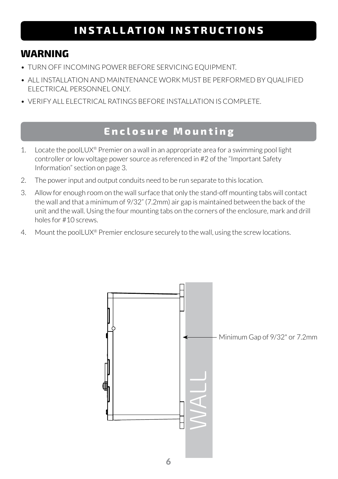## **INSTALLATION INSTRUCTIONS**

#### **WARNING**

- TURN OFF INCOMING POWER BEFORE SERVICING EQUIPMENT.
- ALL INSTALLATION AND MAINTENANCE WORK MUST BE PERFORMED BY QUALIFIED ELECTRICAL PERSONNEL ONLY.
- VERIFY ALL ELECTRICAL RATINGS BEFORE INSTALLATION IS COMPLETE.

#### **Enclosure Mounting**

- 1. Locate the poolLUX® Premier on a wall in an appropriate area for a swimming pool light controller or low voltage power source as referenced in #2 of the "Important Safety Information" section on page 3.
- 2. The power input and output conduits need to be run separate to this location.
- 3. Allow for enough room on the wall surface that only the stand-off mounting tabs will contact the wall and that a minimum of 9/32" (7.2mm) air gap is maintained between the back of the unit and the wall. Using the four mounting tabs on the corners of the enclosure, mark and drill holes for #10 screws.
- 4. Mount the poolLUX<sup>®</sup> Premier enclosure securely to the wall, using the screw locations.

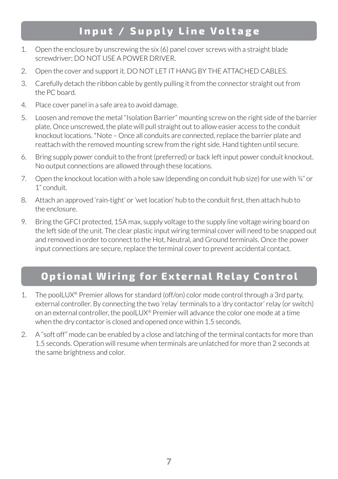## **Input / Supply Line Voltage**

- 1. Open the enclosure by unscrewing the six (6) panel cover screws with a straight blade screwdriver; DO NOT USE A POWER DRIVER.
- 2. Open the cover and support it. DO NOT LET IT HANG BY THE ATTACHED CABLES.
- 3. Carefully detach the ribbon cable by gently pulling it from the connector straight out from the PC board.
- 4. Place cover panel in a safe area to avoid damage.
- 5. Loosen and remove the metal "Isolation Barrier" mounting screw on the right side of the barrier plate. Once unscrewed, the plate will pull straight out to allow easier access to the conduit knockout locations. \*Note – Once all conduits are connected, replace the barrier plate and reattach with the removed mounting screw from the right side. Hand tighten until secure.
- 6. Bring supply power conduit to the front (preferred) or back left input power conduit knockout. No output connections are allowed through these locations.
- 7. Open the knockout location with a hole saw (depending on conduit hub size) for use with  $\frac{3}{4}$ " or 1" conduit.
- 8. Attach an approved 'rain-tight' or 'wet location' hub to the conduit first, then attach hub to the enclosure.
- 9. Bring the GFCI protected, 15A max, supply voltage to the supply line voltage wiring board on the left side of the unit. The clear plastic input wiring terminal cover will need to be snapped out and removed in order to connect to the Hot, Neutral, and Ground terminals. Once the power input connections are secure, replace the terminal cover to prevent accidental contact.

## **Optional Wiring for External Relay Control**

- 1. The poolLUX® Premier allows for standard (off/on) color mode control through a 3rd party, external controller. By connecting the two 'relay' terminals to a 'dry contactor' relay (or switch) on an external controller, the poolLUX<sup>®</sup> Premier will advance the color one mode at a time when the dry contactor is closed and opened once within 1.5 seconds.
- 2. A "soft off" mode can be enabled by a close and latching of the terminal contacts for more than 1.5 seconds. Operation will resume when terminals are unlatched for more than 2 seconds at the same brightness and color.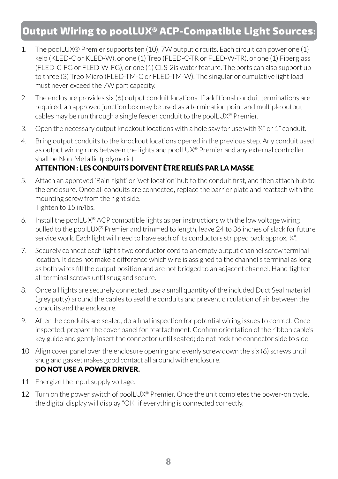## **Output Wiring to poolLUX® ACP-Compatible Light Sources:**

- 1. The poolLUX® Premier supports ten (10), 7W output circuits. Each circuit can power one (1) kelo (KLED-C or KLED-W), or one (1) Treo (FLED-C-TR or FLED-W-TR), or one (1) Fiberglass (FLED-C-FG or FLED-W-FG), or one (1) CLS-2is water feature. The ports can also support up to three (3) Treo Micro (FLED-TM-C or FLED-TM-W). The singular or cumulative light load must never exceed the 7W port capacity.
- 2. The enclosure provides six (6) output conduit locations. If additional conduit terminations are required, an approved junction box may be used as a termination point and multiple output cables may be run through a single feeder conduit to the poolLUX® Premier.
- 3. Open the necessary output knockout locations with a hole saw for use with  $\frac{3}{4}$ " or 1" conduit.
- 4. Bring output conduits to the knockout locations opened in the previous step. Any conduit used as output wiring runs between the lights and poolLUX® Premier and any external controller shall be Non-Metallic (polymeric).

#### ATTENTION : LES CONDUITS DOIVENT ÊTRE RELIÉS PAR LA MASSE

- 5. Attach an approved 'Rain-tight' or 'wet location' hub to the conduit first, and then attach hub to the enclosure. Once all conduits are connected, replace the barrier plate and reattach with the mounting screw from the right side. Tighten to 15 in/lbs.
- 6. Install the poolLUX<sup>®</sup> ACP compatible lights as per instructions with the low voltage wiring pulled to the poolLUX® Premier and trimmed to length, leave 24 to 36 inches of slack for future service work. Each light will need to have each of its conductors stripped back approx. ¼".
- 7. Securely connect each light's two conductor cord to an empty output channel screw terminal location. It does not make a difference which wire is assigned to the channel's terminal as long as both wires fill the output position and are not bridged to an adjacent channel. Hand tighten all terminal screws until snug and secure.
- 8. Once all lights are securely connected, use a small quantity of the included Duct Seal material (grey putty) around the cables to seal the conduits and prevent circulation of air between the conduits and the enclosure.
- 9. After the conduits are sealed, do a final inspection for potential wiring issues to correct. Once inspected, prepare the cover panel for reattachment. Confirm orientation of the ribbon cable's key guide and gently insert the connector until seated; do not rock the connector side to side.
- 10. Align cover panel over the enclosure opening and evenly screw down the six (6) screws until snug and gasket makes good contact all around with enclosure. DO NOT USE A POWER DRIVER.
- 11. Energize the input supply voltage.
- 12. Turn on the power switch of poolLUX® Premier. Once the unit completes the power-on cycle, the digital display will display "OK" if everything is connected correctly.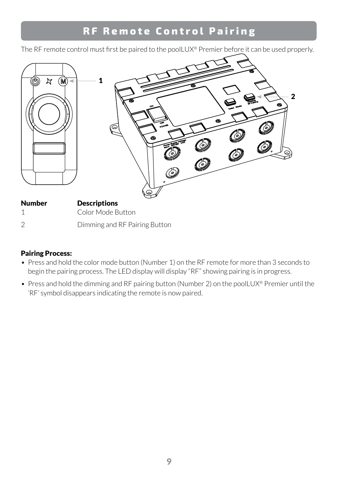## **RF Remote Control Pairing**

The RF remote control must first be paired to the poolLUX® Premier before it can be used properly.



#### Pairing Process:

- Press and hold the color mode button (Number 1) on the RF remote for more than 3 seconds to begin the pairing process. The LED display will display "RF" showing pairing is in progress.
- Press and hold the dimming and RF pairing button (Number 2) on the poolLUX® Premier until the 'RF' symbol disappears indicating the remote is now paired.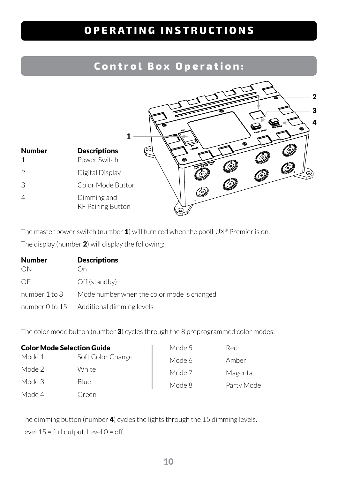## **OPERATING INSTRUCTIONS**

#### **Control Box Operation:**



The master power switch (number  $1$ ) will turn red when the poolLUX<sup>®</sup> Premier is on. The display (number 2) will display the following:

| Number        | <b>Descriptions</b>                        |
|---------------|--------------------------------------------|
| ON            | ( )n                                       |
| OF            | Off (standby)                              |
| number 1 to 8 | Mode number when the color mode is changed |
|               | number 0 to 15 Additional dimming levels   |

The color mode button (number 3) cycles through the 8 preprogrammed color modes:

| <b>Color Mode Selection Guide</b> |                   | Mode 5 | <b>Red</b> |
|-----------------------------------|-------------------|--------|------------|
| Mode 1                            | Soft Color Change | Mode 6 | Amber      |
| Mode 2                            | White             | Mode 7 | Magenta    |
| Mode 3                            | <b>Blue</b>       | Mode 8 | Party Mode |
| Mode 4                            | Green             |        |            |

The dimming button (number 4) cycles the lights through the 15 dimming levels. Level  $15$  = full output, Level  $0$  = off.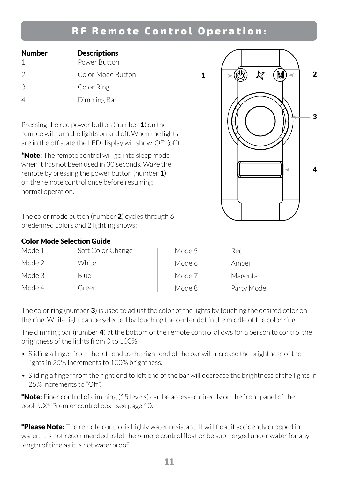#### **RF Remote Control Operation:**

| Number        | <b>Descriptions</b> |
|---------------|---------------------|
|               | Power Button        |
| $\mathcal{P}$ | Color Mode Button   |
| 3             | Color Ring          |
|               | Dimming Bar         |

Pressing the red power button (number  $\mathbf{1}$ ) on the remote will turn the lights on and off. When the lights are in the off state the LED display will show 'OF' (off).

\***Note:** The remote control will go into sleep mode when it has not been used in 30 seconds. Wake the remote by pressing the power button (number  $\mathbf{1}$ ) on the remote control once before resuming normal operation.

The color mode button (number  $2$ ) cycles through 6 predefined colors and 2 lighting shows:

#### Color Mode Selection Guide

| Mode 1 | Soft Color Change | Mode 5 | Red        |
|--------|-------------------|--------|------------|
| Mode 2 | White             | Mode 6 | Amber      |
| Mode 3 | <b>Blue</b>       | Mode 7 | Magenta    |
| Mode 4 | Green             | Mode 8 | Party Mode |

The color ring (number 3) is used to adjust the color of the lights by touching the desired color on the ring. White light can be selected by touching the center dot in the middle of the color ring.

The dimming bar (number  $\mathbf{4}$ ) at the bottom of the remote control allows for a person to control the brightness of the lights from 0 to 100%.

- Sliding a finger from the left end to the right end of the bar will increase the brightness of the lights in 25% increments to 100% brightness.
- Sliding a finger from the right end to left end of the bar will decrease the brightness of the lights in 25% increments to "Off".

\*Note: Finer control of dimming (15 levels) can be accessed directly on the front panel of the poolLUX® Premier control box - see page 10.

\*Please Note: The remote control is highly water resistant. It will float if accidently dropped in water. It is not recommended to let the remote control float or be submerged under water for any length of time as it is not waterproof.